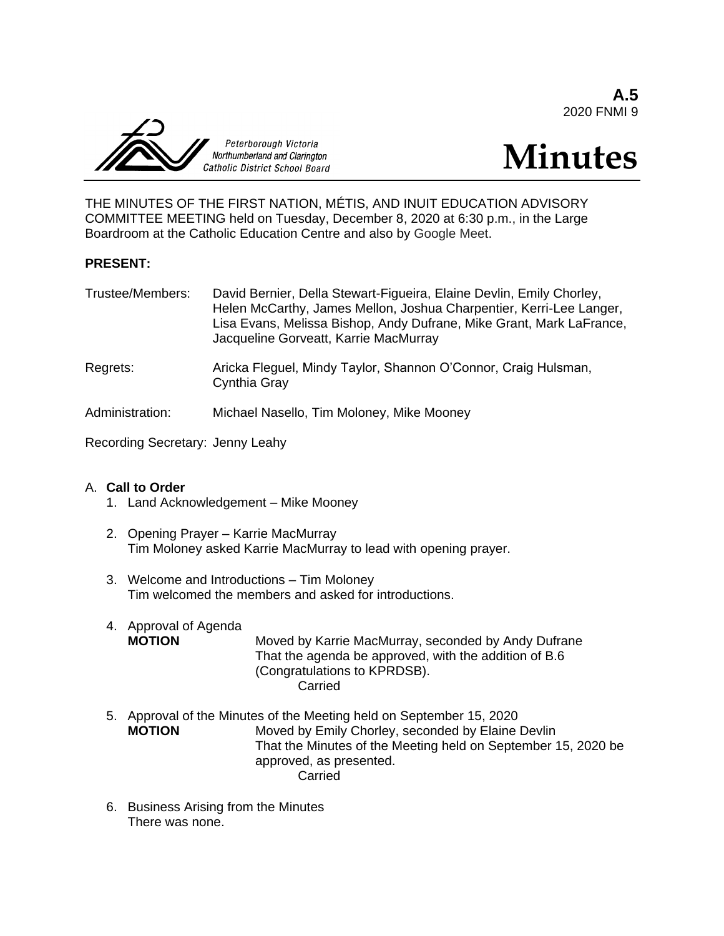**A.5** 2020 FNMI 9



# **Minutes**

THE MINUTES OF THE FIRST NATION, MÉTIS, AND INUIT EDUCATION ADVISORY COMMITTEE MEETING held on Tuesday, December 8, 2020 at 6:30 p.m., in the Large Boardroom at the Catholic Education Centre and also by Google Meet.

#### **PRESENT:**

| Trustee/Members: | David Bernier, Della Stewart-Figueira, Elaine Devlin, Emily Chorley,<br>Helen McCarthy, James Mellon, Joshua Charpentier, Kerri-Lee Langer,<br>Lisa Evans, Melissa Bishop, Andy Dufrane, Mike Grant, Mark LaFrance,<br>Jacqueline Gorveatt, Karrie MacMurray |
|------------------|--------------------------------------------------------------------------------------------------------------------------------------------------------------------------------------------------------------------------------------------------------------|
|                  |                                                                                                                                                                                                                                                              |

Regrets: Aricka Fleguel, Mindy Taylor, Shannon O'Connor, Craig Hulsman, Cynthia Gray

Administration: Michael Nasello, Tim Moloney, Mike Mooney

Recording Secretary: Jenny Leahy

#### A. **Call to Order**

- 1. Land Acknowledgement Mike Mooney
- 2. Opening Prayer Karrie MacMurray Tim Moloney asked Karrie MacMurray to lead with opening prayer.
- 3. Welcome and Introductions Tim Moloney Tim welcomed the members and asked for introductions.
- 4. Approval of Agenda **MOTION** Moved by Karrie MacMurray, seconded by Andy Dufrane That the agenda be approved, with the addition of B.6 (Congratulations to KPRDSB). Carried
- 5. Approval of the Minutes of the Meeting held on September 15, 2020 **MOTION** Moved by Emily Chorley, seconded by Elaine Devlin That the Minutes of the Meeting held on September 15, 2020 be approved, as presented. Carried
- 6. Business Arising from the Minutes There was none.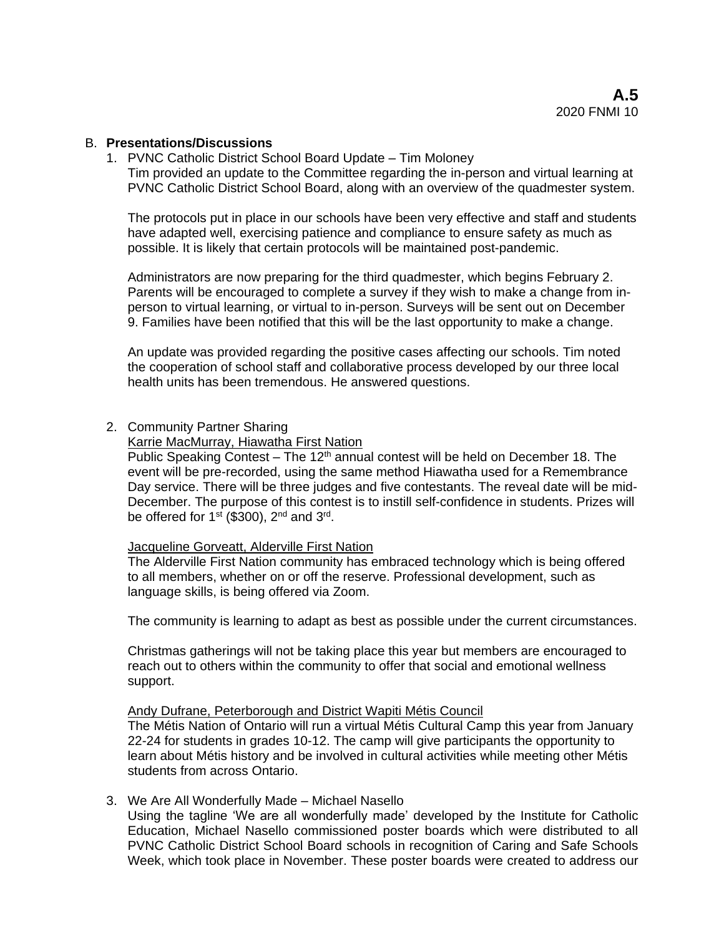#### B. **Presentations/Discussions**

1. PVNC Catholic District School Board Update – Tim Moloney

Tim provided an update to the Committee regarding the in-person and virtual learning at PVNC Catholic District School Board, along with an overview of the quadmester system.

The protocols put in place in our schools have been very effective and staff and students have adapted well, exercising patience and compliance to ensure safety as much as possible. It is likely that certain protocols will be maintained post-pandemic.

Administrators are now preparing for the third quadmester, which begins February 2. Parents will be encouraged to complete a survey if they wish to make a change from inperson to virtual learning, or virtual to in-person. Surveys will be sent out on December 9. Families have been notified that this will be the last opportunity to make a change.

An update was provided regarding the positive cases affecting our schools. Tim noted the cooperation of school staff and collaborative process developed by our three local health units has been tremendous. He answered questions.

#### 2. Community Partner Sharing

Karrie MacMurray, Hiawatha First Nation

Public Speaking Contest – The 12<sup>th</sup> annual contest will be held on December 18. The event will be pre-recorded, using the same method Hiawatha used for a Remembrance Day service. There will be three judges and five contestants. The reveal date will be mid-December. The purpose of this contest is to instill self-confidence in students. Prizes will be offered for 1<sup>st</sup> (\$300), 2<sup>nd</sup> and 3<sup>rd</sup>.

#### Jacqueline Gorveatt, Alderville First Nation

The Alderville First Nation community has embraced technology which is being offered to all members, whether on or off the reserve. Professional development, such as language skills, is being offered via Zoom.

The community is learning to adapt as best as possible under the current circumstances.

Christmas gatherings will not be taking place this year but members are encouraged to reach out to others within the community to offer that social and emotional wellness support.

#### Andy Dufrane, Peterborough and District Wapiti Métis Council

The Métis Nation of Ontario will run a virtual Métis Cultural Camp this year from January 22-24 for students in grades 10-12. The camp will give participants the opportunity to learn about Métis history and be involved in cultural activities while meeting other Métis students from across Ontario.

3. We Are All Wonderfully Made – Michael Nasello

Using the tagline 'We are all wonderfully made' developed by the Institute for Catholic Education, Michael Nasello commissioned poster boards which were distributed to all PVNC Catholic District School Board schools in recognition of Caring and Safe Schools Week, which took place in November. These poster boards were created to address our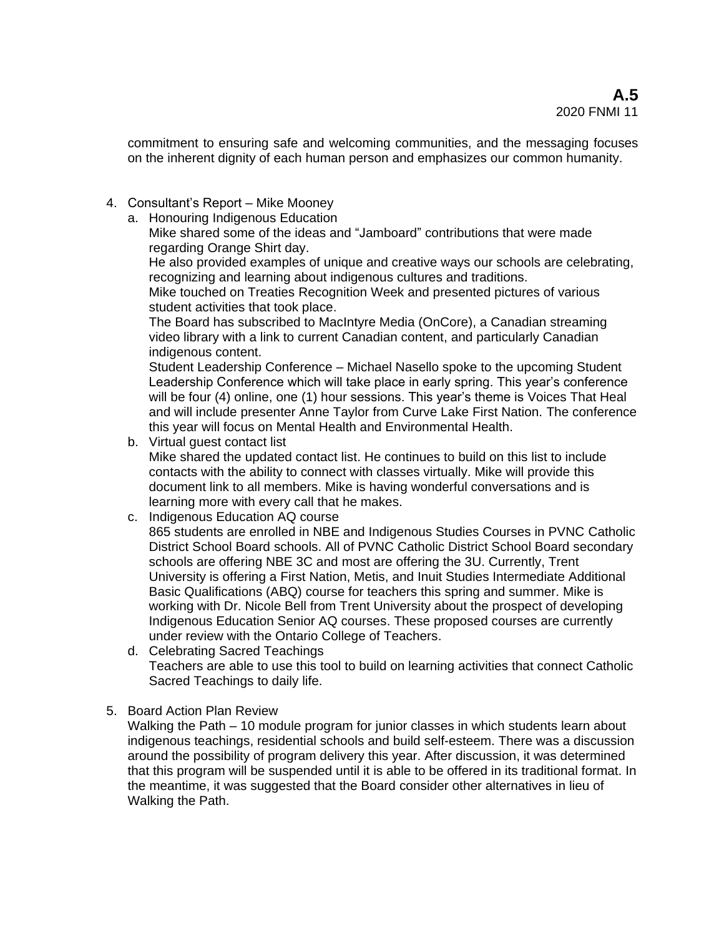commitment to ensuring safe and welcoming communities, and the messaging focuses on the inherent dignity of each human person and emphasizes our common humanity.

- 4. Consultant's Report Mike Mooney
	- a. Honouring Indigenous Education
		- Mike shared some of the ideas and "Jamboard" contributions that were made regarding Orange Shirt day.

He also provided examples of unique and creative ways our schools are celebrating, recognizing and learning about indigenous cultures and traditions.

Mike touched on Treaties Recognition Week and presented pictures of various student activities that took place.

The Board has subscribed to MacIntyre Media (OnCore), a Canadian streaming video library with a link to current Canadian content, and particularly Canadian indigenous content.

Student Leadership Conference – Michael Nasello spoke to the upcoming Student Leadership Conference which will take place in early spring. This year's conference will be four (4) online, one (1) hour sessions. This year's theme is Voices That Heal and will include presenter Anne Taylor from Curve Lake First Nation. The conference this year will focus on Mental Health and Environmental Health.

b. Virtual guest contact list

Mike shared the updated contact list. He continues to build on this list to include contacts with the ability to connect with classes virtually. Mike will provide this document link to all members. Mike is having wonderful conversations and is learning more with every call that he makes.

c. Indigenous Education AQ course

865 students are enrolled in NBE and Indigenous Studies Courses in PVNC Catholic District School Board schools. All of PVNC Catholic District School Board secondary schools are offering NBE 3C and most are offering the 3U. Currently, Trent University is offering a First Nation, Metis, and Inuit Studies Intermediate Additional Basic Qualifications (ABQ) course for teachers this spring and summer. Mike is working with Dr. Nicole Bell from Trent University about the prospect of developing Indigenous Education Senior AQ courses. These proposed courses are currently under review with the Ontario College of Teachers.

- d. Celebrating Sacred Teachings Teachers are able to use this tool to build on learning activities that connect Catholic Sacred Teachings to daily life.
- 5. Board Action Plan Review

Walking the Path – 10 module program for junior classes in which students learn about indigenous teachings, residential schools and build self-esteem. There was a discussion around the possibility of program delivery this year. After discussion, it was determined that this program will be suspended until it is able to be offered in its traditional format. In the meantime, it was suggested that the Board consider other alternatives in lieu of Walking the Path.